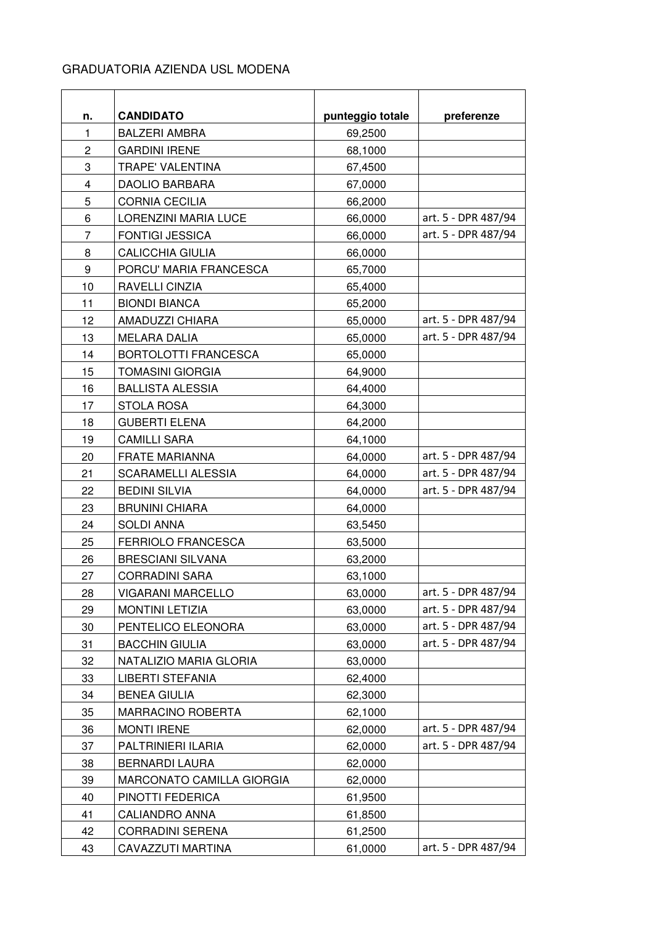## GRADUATORIA AZIENDA USL MODENA

| n.             | <b>CANDIDATO</b>            | punteggio totale | preferenze          |
|----------------|-----------------------------|------------------|---------------------|
| $\mathbf{1}$   | <b>BALZERI AMBRA</b>        | 69,2500          |                     |
| $\overline{c}$ | <b>GARDINI IRENE</b>        | 68,1000          |                     |
| 3              | <b>TRAPE' VALENTINA</b>     | 67,4500          |                     |
| $\overline{4}$ | <b>DAOLIO BARBARA</b>       | 67,0000          |                     |
| 5              | <b>CORNIA CECILIA</b>       | 66,2000          |                     |
| 6              | <b>LORENZINI MARIA LUCE</b> | 66,0000          | art. 5 - DPR 487/94 |
| 7              | <b>FONTIGI JESSICA</b>      | 66,0000          | art. 5 - DPR 487/94 |
| 8              | <b>CALICCHIA GIULIA</b>     | 66,0000          |                     |
| 9              | PORCU' MARIA FRANCESCA      | 65,7000          |                     |
| 10             | RAVELLI CINZIA              | 65,4000          |                     |
| 11             | <b>BIONDI BIANCA</b>        | 65,2000          |                     |
| 12             | AMADUZZI CHIARA             | 65,0000          | art. 5 - DPR 487/94 |
| 13             | <b>MELARA DALIA</b>         | 65,0000          | art. 5 - DPR 487/94 |
| 14             | BORTOLOTTI FRANCESCA        | 65,0000          |                     |
| 15             | <b>TOMASINI GIORGIA</b>     | 64,9000          |                     |
| 16             | <b>BALLISTA ALESSIA</b>     | 64,4000          |                     |
| 17             | <b>STOLA ROSA</b>           | 64,3000          |                     |
| 18             | <b>GUBERTI ELENA</b>        | 64,2000          |                     |
| 19             | <b>CAMILLI SARA</b>         | 64,1000          |                     |
| 20             | <b>FRATE MARIANNA</b>       | 64,0000          | art. 5 - DPR 487/94 |
| 21             | <b>SCARAMELLI ALESSIA</b>   | 64,0000          | art. 5 - DPR 487/94 |
| 22             | <b>BEDINI SILVIA</b>        | 64,0000          | art. 5 - DPR 487/94 |
| 23             | <b>BRUNINI CHIARA</b>       | 64,0000          |                     |
| 24             | <b>SOLDI ANNA</b>           | 63,5450          |                     |
| 25             | <b>FERRIOLO FRANCESCA</b>   | 63,5000          |                     |
| 26             | <b>BRESCIANI SILVANA</b>    | 63,2000          |                     |
| 27             | <b>CORRADINI SARA</b>       | 63,1000          |                     |
| 28             | VIGARANI MARCELLO           | 63,0000          | art. 5 - DPR 487/94 |
| 29             | <b>MONTINI LETIZIA</b>      | 63,0000          | art. 5 - DPR 487/94 |
| 30             | PENTELICO ELEONORA          | 63,0000          | art. 5 - DPR 487/94 |
| 31             | <b>BACCHIN GIULIA</b>       | 63,0000          | art. 5 - DPR 487/94 |
| 32             | NATALIZIO MARIA GLORIA      | 63,0000          |                     |
| 33             | <b>LIBERTI STEFANIA</b>     | 62,4000          |                     |
| 34             | <b>BENEA GIULIA</b>         | 62,3000          |                     |
| 35             | <b>MARRACINO ROBERTA</b>    | 62,1000          |                     |
| 36             | <b>MONTI IRENE</b>          | 62,0000          | art. 5 - DPR 487/94 |
| 37             | PALTRINIERI ILARIA          | 62,0000          | art. 5 - DPR 487/94 |
| 38             | <b>BERNARDI LAURA</b>       | 62,0000          |                     |
| 39             | MARCONATO CAMILLA GIORGIA   | 62,0000          |                     |
| 40             | PINOTTI FEDERICA            | 61,9500          |                     |
| 41             | <b>CALIANDRO ANNA</b>       | 61,8500          |                     |
| 42             | <b>CORRADINI SERENA</b>     | 61,2500          |                     |
| 43             | CAVAZZUTI MARTINA           | 61,0000          | art. 5 - DPR 487/94 |